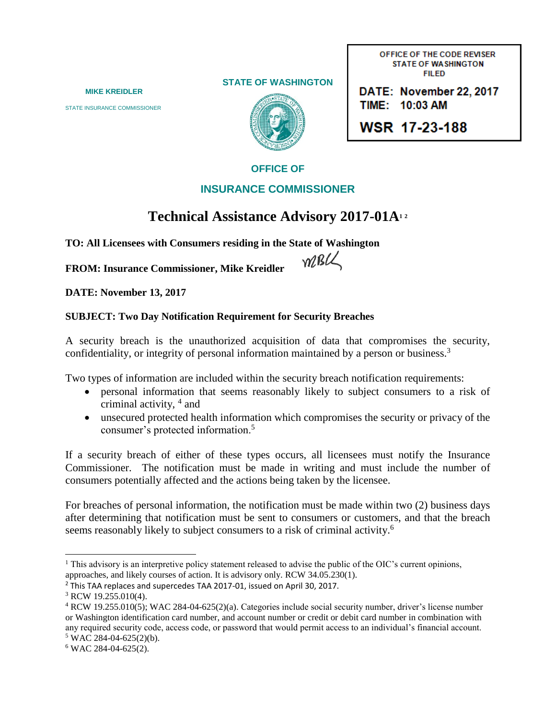**STATE OF WASHINGTON**



OFFICE OF THE CODE REVISER **STATE OF WASHINGTON FILED** 

 **MIKE KREIDLER** Phone: (360) 725-7000 STATE INSURANCE COMMISSIONER WERE WELL ASSESSED TIME: 10:03 AM

WSR 17-23-188

## **OFFICE OF**

## **INSURANCE COMMISSIONER**

## **Technical Assistance Advisory 2017-01A<sup>1</sup> <sup>2</sup>**

**TO: All Licensees with Consumers residing in the State of Washington** 

MBLL

**FROM: Insurance Commissioner, Mike Kreidler** 

**DATE: November 13, 2017**

## **SUBJECT: Two Day Notification Requirement for Security Breaches**

A security breach is the unauthorized acquisition of data that compromises the security, confidentiality, or integrity of personal information maintained by a person or business.<sup>3</sup>

Two types of information are included within the security breach notification requirements:

- personal information that seems reasonably likely to subject consumers to a risk of criminal activity, <sup>4</sup> and
- unsecured protected health information which compromises the security or privacy of the consumer's protected information.<sup>5</sup>

If a security breach of either of these types occurs, all licensees must notify the Insurance Commissioner. The notification must be made in writing and must include the number of consumers potentially affected and the actions being taken by the licensee.

For breaches of personal information, the notification must be made within two (2) business days after determining that notification must be sent to consumers or customers, and that the breach seems reasonably likely to subject consumers to a risk of criminal activity.<sup>6</sup>

 $\overline{\phantom{a}}$  $<sup>1</sup>$  This advisory is an interpretive policy statement released to advise the public of the OIC's current opinions,</sup> approaches, and likely courses of action. It is advisory only. RCW 34.05.230(1).

<sup>&</sup>lt;sup>2</sup> This TAA replaces and supercedes TAA 2017-01, issued on April 30, 2017.

<sup>3</sup> RCW 19.255.010(4).

<sup>4</sup> RCW 19.255.010(5); WAC 284-04-625(2)(a). Categories include social security number, driver's license number or Washington identification card number, and account number or credit or debit card number in combination with any required security code, access code, or password that would permit access to an individual's financial account.  $5$  WAC 284-04-625(2)(b).

<sup>6</sup> WAC 284-04-625(2).